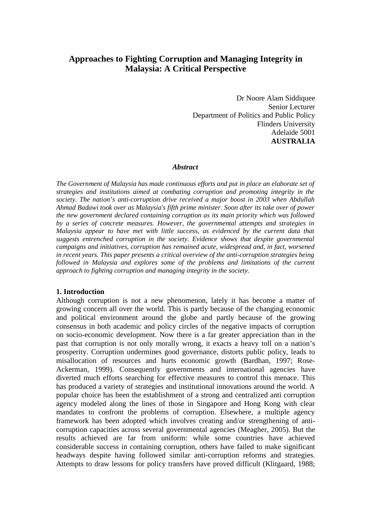# **Approaches to Fighting Corruption and Managing Integrity in Malaysia: A Critical Perspective**

Dr Noore Alam Siddiquee Senior Lecturer Department of Politics and Public Policy Flinders University Adelaide 5001 **AUSTRALIA**

#### *Abstract*

*The Government of Malaysia has made continuous efforts and put in place an elaborate set of strategies and institutions aimed at combating corruption and promoting integrity in the society. The nation's anti-corruption drive received a major boost in 2003 when Abdullah Ahmad Badawi took over as Malaysia's fifth prime minister. Soon after its take over of power the new government declared containing corruption as its main priority which was followed by a series of concrete measures. However, the governmental attempts and strategies in Malaysia appear to have met with little success, as evidenced by the current data that suggests entrenched corruption in the society. Evidence shows that despite governmental campaigns and initiatives, corruption has remained acute, widespread and, in fact, worsened in recent years. This paper presents a critical overview of the anti-corruption strategies being followed in Malaysia and explores some of the problems and limitations of the current approach to fighting corruption and managing integrity in the society.*

#### **1. Introduction**

Although corruption is not a new phenomenon, lately it has become a matter of growing concern all over the world. This is partly because of the changing economic and political environment around the globe and partly because of the growing consensus in both academic and policy circles of the negative impacts of corruption on socio-economic development. Now there is a far greater appreciation than in the past that corruption is not only morally wrong, it exacts a heavy toll on a nation's prosperity. Corruption undermines good governance, distorts public policy, leads to misallocation of resources and hurts economic growth (Bardhan, 1997; Rose-Ackerman, 1999). Consequently governments and international agencies have diverted much efforts searching for effective measures to control this menace. This has produced a variety of strategies and institutional innovations around the world. A popular choice has been the establishment of a strong and centralized anti corruption agency modeled along the lines of those in Singapore and Hong Kong with clear mandates to confront the problems of corruption. Elsewhere, a multiple agency framework has been adopted which involves creating and/or strengthening of anticorruption capacities across several governmental agencies (Meagher, 2005). But the results achieved are far from uniform: while some countries have achieved considerable success in containing corruption, others have failed to make significant headways despite having followed similar anti-corruption reforms and strategies. Attempts to draw lessons for policy transfers have proved difficult (Klitgaard, 1988;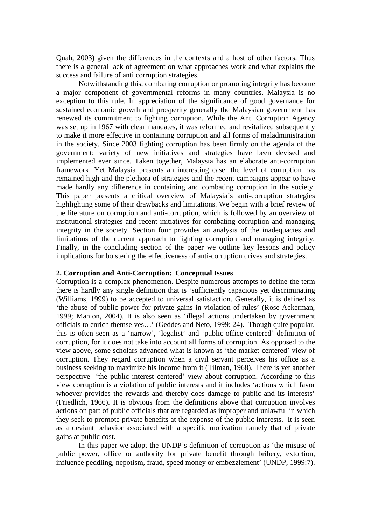Quah, 2003) given the differences in the contexts and a host of other factors. Thus there is a general lack of agreement on what approaches work and what explains the success and failure of anti corruption strategies.

Notwithstanding this, combating corruption or promoting integrity has become a major component of governmental reforms in many countries. Malaysia is no exception to this rule. In appreciation of the significance of good governance for sustained economic growth and prosperity generally the Malaysian government has renewed its commitment to fighting corruption. While the Anti Corruption Agency was set up in 1967 with clear mandates, it was reformed and revitalized subsequently to make it more effective in containing corruption and all forms of maladministration in the society. Since 2003 fighting corruption has been firmly on the agenda of the government: variety of new initiatives and strategies have been devised and implemented ever since. Taken together, Malaysia has an elaborate anti-corruption framework. Yet Malaysia presents an interesting case: the level of corruption has remained high and the plethora of strategies and the recent campaigns appear to have made hardly any difference in containing and combating corruption in the society. This paper presents a critical overview of Malaysia's anti-corruption strategies highlighting some of their drawbacks and limitations. We begin with a brief review of the literature on corruption and anti-corruption, which is followed by an overview of institutional strategies and recent initiatives for combating corruption and managing integrity in the society. Section four provides an analysis of the inadequacies and limitations of the current approach to fighting corruption and managing integrity. Finally, in the concluding section of the paper we outline key lessons and policy implications for bolstering the effectiveness of anti-corruption drives and strategies.

### **2. Corruption and Anti-Corruption: Conceptual Issues**

Corruption is a complex phenomenon. Despite numerous attempts to define the term there is hardly any single definition that is 'sufficiently capacious yet discriminating (Williams, 1999) to be accepted to universal satisfaction. Generally, it is defined as 'the abuse of public power for private gains in violation of rules' (Rose-Ackerman, 1999; Manion, 2004). It is also seen as 'illegal actions undertaken by government officials to enrich themselves…' (Geddes and Neto, 1999: 24). Though quite popular, this is often seen as a 'narrow', 'legalist' and 'public-office centered' definition of corruption, for it does not take into account all forms of corruption. As opposed to the view above, some scholars advanced what is known as 'the market-centered' view of corruption. They regard corruption when a civil servant perceives his office as a business seeking to maximize his income from it (Tilman, 1968). There is yet another perspective- 'the public interest centered' view about corruption. According to this view corruption is a violation of public interests and it includes 'actions which favor whoever provides the rewards and thereby does damage to public and its interests' (Friedlich, 1966). It is obvious from the definitions above that corruption involves actions on part of public officials that are regarded as improper and unlawful in which they seek to promote private benefits at the expense of the public interests. It is seen as a deviant behavior associated with a specific motivation namely that of private gains at public cost.

In this paper we adopt the UNDP's definition of corruption as 'the misuse of public power, office or authority for private benefit through bribery, extortion, influence peddling, nepotism, fraud, speed money or embezzlement' (UNDP, 1999:7).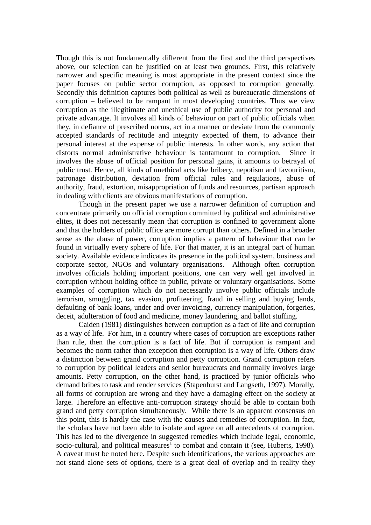Though this is not fundamentally different from the first and the third perspectives above, our selection can be justified on at least two grounds. First, this relatively narrower and specific meaning is most appropriate in the present context since the paper focuses on public sector corruption, as opposed to corruption generally. Secondly this definition captures both political as well as bureaucratic dimensions of corruption – believed to be rampant in most developing countries. Thus we view corruption as the illegitimate and unethical use of public authority for personal and private advantage. It involves all kinds of behaviour on part of public officials when they, in defiance of prescribed norms, act in a manner or deviate from the commonly accepted standards of rectitude and integrity expected of them, to advance their personal interest at the expense of public interests. In other words, any action that distorts normal administrative behaviour is tantamount to corruption. Since it involves the abuse of official position for personal gains, it amounts to betrayal of public trust. Hence, all kinds of unethical acts like bribery, nepotism and favouritism, patronage distribution, deviation from official rules and regulations, abuse of authority, fraud, extortion, misappropriation of funds and resources, partisan approach in dealing with clients are obvious manifestations of corruption.

Though in the present paper we use a narrower definition of corruption and concentrate primarily on official corruption committed by political and administrative elites, it does not necessarily mean that corruption is confined to government alone and that the holders of public office are more corrupt than others. Defined in a broader sense as the abuse of power, corruption implies a pattern of behaviour that can be found in virtually every sphere of life. For that matter, it is an integral part of human society. Available evidence indicates its presence in the political system, business and corporate sector, NGOs and voluntary organisations. Although often corruption involves officials holding important positions, one can very well get involved in corruption without holding office in public, private or voluntary organisations. Some examples of corruption which do not necessarily involve public officials include terrorism, smuggling, tax evasion, profiteering, fraud in selling and buying lands, defaulting of bank-loans, under and over-invoicing, currency manipulation, forgeries, deceit, adulteration of food and medicine, money laundering, and ballot stuffing.

Caiden (1981) distinguishes between corruption as a fact of life and corruption as a way of life. For him, in a country where cases of corruption are exceptions rather than rule, then the corruption is a fact of life. But if corruption is rampant and becomes the norm rather than exception then corruption is a way of life. Others draw a distinction between grand corruption and petty corruption. Grand corruption refers to corruption by political leaders and senior bureaucrats and normally involves large amounts. Petty corruption, on the other hand, is practiced by junior officials who demand bribes to task and render services (Stapenhurst and Langseth, 1997). Morally, all forms of corruption are wrong and they have a damaging effect on the society at large. Therefore an effective anti-corruption strategy should be able to contain both grand and petty corruption simultaneously. While there is an apparent consensus on this point, this is hardly the case with the causes and remedies of corruption. In fact, the scholars have not been able to isolate and agree on all antecedents of corruption. This has led to the divergence in suggested remedies which include legal, economic, socio-cultural, and political measures<sup>1</sup> to combat and contain it (see, Huberts, 1998). A caveat must be noted here. Despite such identifications, the various approaches are not stand alone sets of options, there is a great deal of overlap and in reality they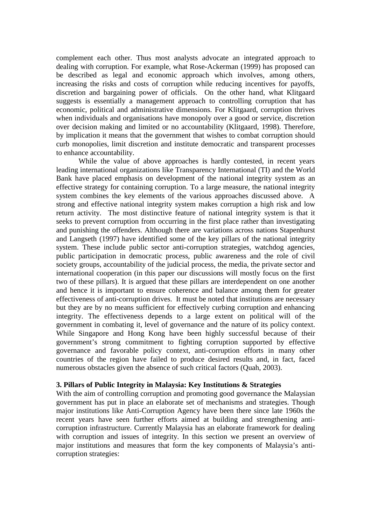complement each other. Thus most analysts advocate an integrated approach to dealing with corruption. For example, what Rose-Ackerman (1999) has proposed can be described as legal and economic approach which involves, among others, increasing the risks and costs of corruption while reducing incentives for payoffs, discretion and bargaining power of officials. On the other hand, what Klitgaard suggests is essentially a management approach to controlling corruption that has economic, political and administrative dimensions. For Klitgaard, corruption thrives when individuals and organisations have monopoly over a good or service, discretion over decision making and limited or no accountability (Klitgaard, 1998). Therefore, by implication it means that the government that wishes to combat corruption should curb monopolies, limit discretion and institute democratic and transparent processes to enhance accountability.

While the value of above approaches is hardly contested, in recent years leading international organizations like Transparency International (TI) and the World Bank have placed emphasis on development of the national integrity system as an effective strategy for containing corruption. To a large measure, the national integrity system combines the key elements of the various approaches discussed above. A strong and effective national integrity system makes corruption a high risk and low return activity. The most distinctive feature of national integrity system is that it seeks to prevent corruption from occurring in the first place rather than investigating and punishing the offenders. Although there are variations across nations Stapenhurst and Langseth (1997) have identified some of the key pillars of the national integrity system. These include public sector anti-corruption strategies, watchdog agencies, public participation in democratic process, public awareness and the role of civil society groups, accountability of the judicial process, the media, the private sector and international cooperation (in this paper our discussions will mostly focus on the first two of these pillars). It is argued that these pillars are interdependent on one another and hence it is important to ensure coherence and balance among them for greater effectiveness of anti-corruption drives. It must be noted that institutions are necessary but they are by no means sufficient for effectively curbing corruption and enhancing integrity. The effectiveness depends to a large extent on political will of the government in combating it, level of governance and the nature of its policy context. While Singapore and Hong Kong have been highly successful because of their government's strong commitment to fighting corruption supported by effective governance and favorable policy context, anti-corruption efforts in many other countries of the region have failed to produce desired results and, in fact, faced numerous obstacles given the absence of such critical factors (Quah, 2003).

### **3. Pillars of Public Integrity in Malaysia: Key Institutions & Strategies**

With the aim of controlling corruption and promoting good governance the Malaysian government has put in place an elaborate set of mechanisms and strategies. Though major institutions like Anti-Corruption Agency have been there since late 1960s the recent years have seen further efforts aimed at building and strengthening anticorruption infrastructure. Currently Malaysia has an elaborate framework for dealing with corruption and issues of integrity. In this section we present an overview of major institutions and measures that form the key components of Malaysia's anticorruption strategies: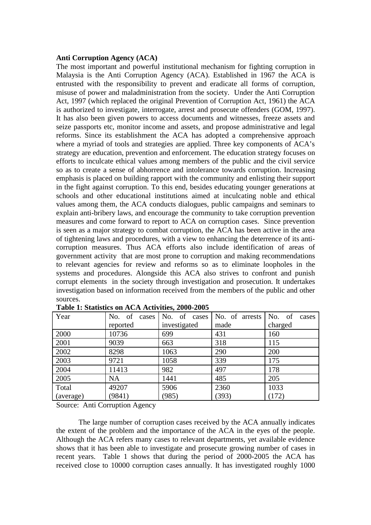#### **Anti Corruption Agency (ACA)**

The most important and powerful institutional mechanism for fighting corruption in Malaysia is the Anti Corruption Agency (ACA). Established in 1967 the ACA is entrusted with the responsibility to prevent and eradicate all forms of corruption, misuse of power and maladministration from the society. Under the Anti Corruption Act, 1997 (which replaced the original Prevention of Corruption Act, 1961) the ACA is authorized to investigate, interrogate, arrest and prosecute offenders (GOM, 1997). It has also been given powers to access documents and witnesses, freeze assets and seize passports etc, monitor income and assets, and propose administrative and legal reforms. Since its establishment the ACA has adopted a comprehensive approach where a myriad of tools and strategies are applied. Three key components of ACA's strategy are education, prevention and enforcement. The education strategy focuses on efforts to inculcate ethical values among members of the public and the civil service so as to create a sense of abhorrence and intolerance towards corruption. Increasing emphasis is placed on building rapport with the community and enlisting their support in the fight against corruption. To this end, besides educating younger generations at schools and other educational institutions aimed at inculcating noble and ethical values among them, the ACA conducts dialogues, public campaigns and seminars to explain anti-bribery laws, and encourage the community to take corruption prevention measures and come forward to report to ACA on corruption cases. Since prevention is seen as a major strategy to combat corruption, the ACA has been active in the area of tightening laws and procedures, with a view to enhancing the deterrence of its anticorruption measures. Thus ACA efforts also include identification of areas of government activity that are most prone to corruption and making recommendations to relevant agencies for review and reforms so as to eliminate loopholes in the systems and procedures. Alongside this ACA also strives to confront and punish corrupt elements in the society through investigation and prosecution. It undertakes investigation based on information received from the members of the public and other sources.

| Year      |           | No. of cases   No. of cases   No. of arrests   No. of cases |       |         |
|-----------|-----------|-------------------------------------------------------------|-------|---------|
|           | reported  | investigated                                                | made  | charged |
| 2000      | 10736     | 699                                                         | 431   | 160     |
| 2001      | 9039      | 663                                                         | 318   | 115     |
| 2002      | 8298      | 1063                                                        | 290   | 200     |
| 2003      | 9721      | 1058                                                        | 339   | 175     |
| 2004      | 11413     | 982                                                         | 497   | 178     |
| 2005      | <b>NA</b> | 1441                                                        | 485   | 205     |
| Total     | 49207     | 5906                                                        | 2360  | 1033    |
| (average) | (9841)    | (985)                                                       | (393) | (172)   |

Source: Anti Corruption Agency

The large number of corruption cases received by the ACA annually indicates the extent of the problem and the importance of the ACA in the eyes of the people. Although the ACA refers many cases to relevant departments, yet available evidence shows that it has been able to investigate and prosecute growing number of cases in recent years. Table 1 shows that during the period of 2000-2005 the ACA has received close to 10000 corruption cases annually. It has investigated roughly 1000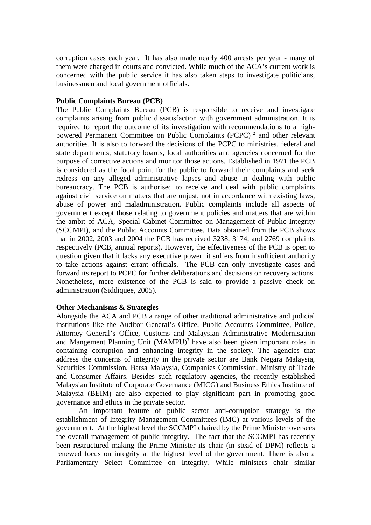corruption cases each year. It has also made nearly 400 arrests per year - many of them were charged in courts and convicted. While much of the ACA's current work is concerned with the public service it has also taken steps to investigate politicians, businessmen and local government officials.

### **Public Complaints Bureau (PCB)**

The Public Complaints Bureau (PCB) is responsible to receive and investigate complaints arising from public dissatisfaction with government administration. It is required to report the outcome of its investigation with recommendations to a highpowered Permanent Committee on Public Complaints (PCPC)<sup>2</sup> and other relevant authorities. It is also to forward the decisions of the PCPC to ministries, federal and state departments, statutory boards, local authorities and agencies concerned for the purpose of corrective actions and monitor those actions. Established in 1971 the PCB is considered as the focal point for the public to forward their complaints and seek redress on any alleged administrative lapses and abuse in dealing with public bureaucracy. The PCB is authorised to receive and deal with public complaints against civil service on matters that are unjust, not in accordance with existing laws, abuse of power and maladministration. Public complaints include all aspects of government except those relating to government policies and matters that are within the ambit of ACA, Special Cabinet Committee on Management of Public Integrity (SCCMPI), and the Public Accounts Committee. Data obtained from the PCB shows that in 2002, 2003 and 2004 the PCB has received 3238, 3174, and 2769 complaints respectively (PCB, annual reports). However, the effectiveness of the PCB is open to question given that it lacks any executive power: it suffers from insufficient authority to take actions against errant officials. The PCB can only investigate cases and forward its report to PCPC for further deliberations and decisions on recovery actions. Nonetheless, mere existence of the PCB is said to provide a passive check on administration (Siddiquee, 2005).

## **Other Mechanisms & Strategies**

Alongside the ACA and PCB a range of other traditional administrative and judicial institutions like the Auditor General's Office, Public Accounts Committee, Police, Attorney General's Office, Customs and Malaysian Administrative Modernisation and Mangement Planning Unit (MAMPU)<sup>3</sup> have also been given important roles in containing corruption and enhancing integrity in the society. The agencies that address the concerns of integrity in the private sector are Bank Negara Malaysia, Securities Commission, Barsa Malaysia, Companies Commission, Ministry of Trade and Consumer Affairs. Besides such regulatory agencies, the recently established Malaysian Institute of Corporate Governance (MICG) and Business Ethics Institute of Malaysia (BEIM) are also expected to play significant part in promoting good governance and ethics in the private sector.

An important feature of public sector anti-corruption strategy is the establishment of Integrity Management Committees (IMC) at various levels of the government. At the highest level the SCCMPI chaired by the Prime Minister oversees the overall management of public integrity. The fact that the SCCMPI has recently been restructured making the Prime Minister its chair (in stead of DPM) reflects a renewed focus on integrity at the highest level of the government. There is also a Parliamentary Select Committee on Integrity. While ministers chair similar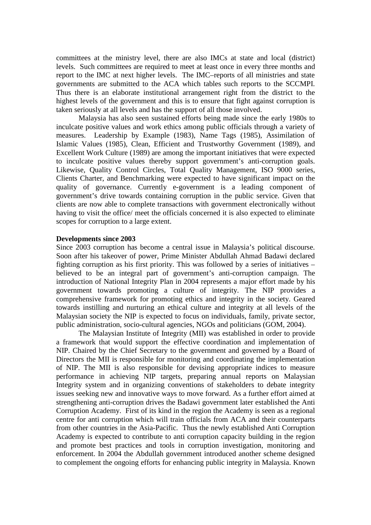committees at the ministry level, there are also IMCs at state and local (district) levels. Such committees are required to meet at least once in every three months and report to the IMC at next higher levels. The IMC–reports of all ministries and state governments are submitted to the ACA which tables such reports to the SCCMPI. Thus there is an elaborate institutional arrangement right from the district to the highest levels of the government and this is to ensure that fight against corruption is taken seriously at all levels and has the support of all those involved.

Malaysia has also seen sustained efforts being made since the early 1980s to inculcate positive values and work ethics among public officials through a variety of measures. Leadership by Example (1983), Name Tags (1985), Assimilation of Islamic Values (1985), Clean, Efficient and Trustworthy Government (1989), and Excellent Work Culture (1989) are among the important initiatives that were expected to inculcate positive values thereby support government's anti-corruption goals. Likewise, Quality Control Circles, Total Quality Management, ISO 9000 series, Clients Charter, and Benchmarking were expected to have significant impact on the quality of governance. Currently e-government is a leading component of government's drive towards containing corruption in the public service. Given that clients are now able to complete transactions with government electronically without having to visit the office/ meet the officials concerned it is also expected to eliminate scopes for corruption to a large extent.

#### **Developments since 2003**

Since 2003 corruption has become a central issue in Malaysia's political discourse. Soon after his takeover of power, Prime Minister Abdullah Ahmad Badawi declared fighting corruption as his first priority. This was followed by a series of initiatives – believed to be an integral part of government's anti-corruption campaign. The introduction of National Integrity Plan in 2004 represents a major effort made by his government towards promoting a culture of integrity. The NIP provides a comprehensive framework for promoting ethics and integrity in the society. Geared towards instilling and nurturing an ethical culture and integrity at all levels of the Malaysian society the NIP is expected to focus on individuals, family, private sector, public administration, socio-cultural agencies, NGOs and politicians (GOM, 2004).

The Malaysian Institute of Integrity (MII) was established in order to provide a framework that would support the effective coordination and implementation of NIP. Chaired by the Chief Secretary to the government and governed by a Board of Directors the MII is responsible for monitoring and coordinating the implementation of NIP. The MII is also responsible for devising appropriate indices to measure performance in achieving NIP targets, preparing annual reports on Malaysian Integrity system and in organizing conventions of stakeholders to debate integrity issues seeking new and innovative ways to move forward. As a further effort aimed at strengthening anti-corruption drives the Badawi government later established the Anti Corruption Academy. First of its kind in the region the Academy is seen as a regional centre for anti corruption which will train officials from ACA and their counterparts from other countries in the Asia-Pacific. Thus the newly established Anti Corruption Academy is expected to contribute to anti corruption capacity building in the region and promote best practices and tools in corruption investigation, monitoring and enforcement. In 2004 the Abdullah government introduced another scheme designed to complement the ongoing efforts for enhancing public integrity in Malaysia. Known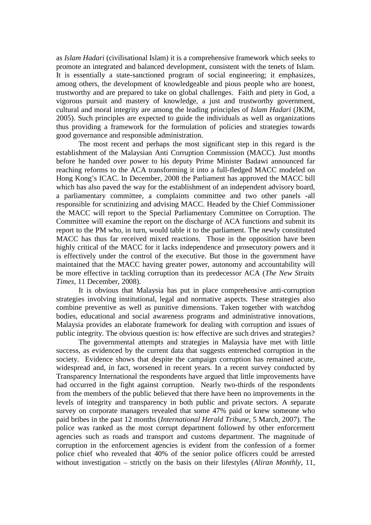as *Islam Hadari* (civilisational Islam) it is a comprehensive framework which seeks to promote an integrated and balanced development, consistent with the tenets of Islam. It is essentially a state-sanctioned program of social engineering; it emphasizes, among others, the development of knowledgeable and pious people who are honest, trustworthy and are prepared to take on global challenges. Faith and piety in God, a vigorous pursuit and mastery of knowledge, a just and trustworthy government, cultural and moral integrity are among the leading principles of *Islam Hadari* (JKIM, 2005). Such principles are expected to guide the individuals as well as organizations thus providing a framework for the formulation of policies and strategies towards good governance and responsible administration.

The most recent and perhaps the most significant step in this regard is the establishment of the Malaysian Anti Corruption Commission (MACC). Just months before he handed over power to his deputy Prime Minister Badawi announced far reaching reforms to the ACA transforming it into a full-fledged MACC modeled on Hong Kong's ICAC. In December, 2008 the Parliament has approved the MACC bill which has also paved the way for the establishment of an independent advisory board, a parliamentary committee, a complaints committee and two other panels -all responsible for scrutinizing and advising MACC. Headed by the Chief Commissioner the MACC will report to the Special Parliamentary Committee on Corruption. The Committee will examine the report on the discharge of ACA functions and submit its report to the PM who, in turn, would table it to the parliament. The newly constituted MACC has thus far received mixed reactions. Those in the opposition have been highly critical of the MACC for it lacks independence and prosecutory powers and it is effectively under the control of the executive. But those in the government have maintained that the MACC having greater power, autonomy and accountability will be more effective in tackling corruption than its predecessor ACA (*The New Straits Times,* 11 December, 2008).

It is obvious that Malaysia has put in place comprehensive anti-corruption strategies involving institutional, legal and normative aspects. These strategies also combine preventive as well as punitive dimensions. Taken together with watchdog bodies, educational and social awareness programs and administrative innovations, Malaysia provides an elaborate framework for dealing with corruption and issues of public integrity. The obvious question is: how effective are such drives and strategies?

The governmental attempts and strategies in Malaysia have met with little success, as evidenced by the current data that suggests entrenched corruption in the society. Evidence shows that despite the campaign corruption has remained acute, widespread and, in fact, worsened in recent years. In a recent survey conducted by Transparency International the respondents have argued that little improvements have had occurred in the fight against corruption. Nearly two-thirds of the respondents from the members of the public believed that there have been no improvements in the levels of integrity and transparency in both public and private sectors. A separate survey on corporate managers revealed that some 47% paid or knew someone who paid bribes in the past 12 months (*International Herald Tribune*, 5 March, 2007). The police was ranked as the most corrupt department followed by other enforcement agencies such as roads and transport and customs department. The magnitude of corruption in the enforcement agencies is evident from the confession of a former police chief who revealed that 40% of the senior police officers could be arrested without investigation – strictly on the basis on their lifestyles (*Aliran Monthly*, 11,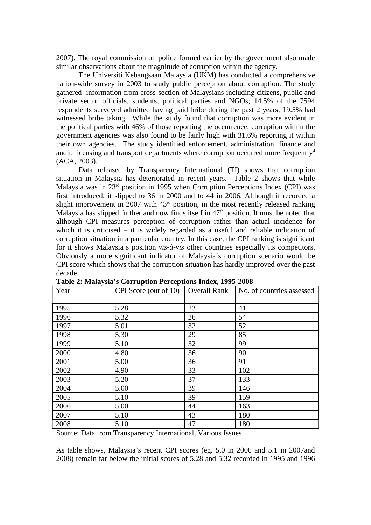2007). The royal commission on police formed earlier by the government also made similar observations about the magnitude of corruption within the agency.

The Universiti Kebangsaan Malaysia (UKM) has conducted a comprehensive nation-wide survey in 2003 to study public perception about corruption. The study gathered information from cross-section of Malaysians including citizens, public and private sector officials, students, political parties and NGOs; 14.5% of the 7594 respondents surveyed admitted having paid bribe during the past 2 years, 19.5% had witnessed bribe taking. While the study found that corruption was more evident in the political parties with 46% of those reporting the occurrence, corruption within the government agencies was also found to be fairly high with 31.6% reporting it within their own agencies. The study identified enforcement, administration, finance and audit, licensing and transport departments where corruption occurred more frequently<sup>4</sup> (ACA, 2003).

Data released by Transparency International (TI) shows that corruption situation in Malaysia has deteriorated in recent years. Table 2 shows that while Malaysia was in 23rd position in 1995 when Corruption Perceptions Index (CPI) was first introduced, it slipped to 36 in 2000 and to 44 in 2006. Although it recorded a slight improvement in 2007 with  $43<sup>rd</sup>$  position, in the most recently released ranking Malaysia has slipped further and now finds itself in  $47<sup>th</sup>$  position. It must be noted that although CPI measures perception of corruption rather than actual incidence for which it is criticised – it is widely regarded as a useful and reliable indication of corruption situation in a particular country. In this case, the CPI ranking is significant for it shows Malaysia's position *vis-à-vis* other countries especially its competitors. Obviously a more significant indicator of Malaysia's corruption scenario would be CPI score which shows that the corruption situation has hardly improved over the past decade.

| Year | CPI Score (out of 10) | <b>Overall Rank</b> | No. of countries assessed |
|------|-----------------------|---------------------|---------------------------|
|      |                       |                     |                           |
| 1995 | 5.28                  | 23                  | 41                        |
| 1996 | 5.32                  | 26                  | 54                        |
| 1997 | 5.01                  | 32                  | 52                        |
| 1998 | 5.30                  | 29                  | 85                        |
| 1999 | 5.10                  | 32                  | 99                        |
| 2000 | 4.80                  | 36                  | 90                        |
| 2001 | 5.00                  | 36                  | 91                        |
| 2002 | 4.90                  | 33                  | 102                       |
| 2003 | 5.20                  | 37                  | 133                       |
| 2004 | 5.00                  | 39                  | 146                       |
| 2005 | 5.10                  | 39                  | 159                       |
| 2006 | 5.00                  | 44                  | 163                       |
| 2007 | 5.10                  | 43                  | 180                       |
| 2008 | 5.10                  | 47                  | 180                       |

| Table 2: Malaysia's Corruption Perceptions Index, 1995-2008 |  |  |  |  |  |
|-------------------------------------------------------------|--|--|--|--|--|
|-------------------------------------------------------------|--|--|--|--|--|

Source: Data from Transparency International, Various Issues

As table shows, Malaysia's recent CPI scores (eg. 5.0 in 2006 and 5.1 in 2007and 2008) remain far below the initial scores of 5.28 and 5.32 recorded in 1995 and 1996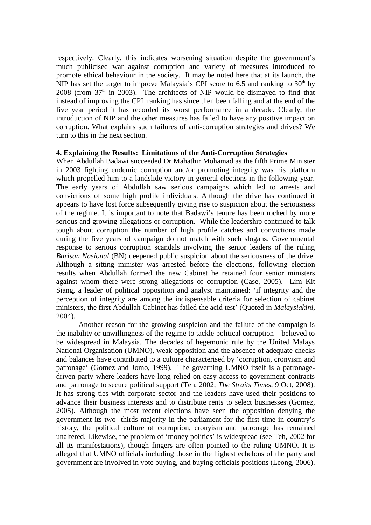respectively. Clearly, this indicates worsening situation despite the government's much publicised war against corruption and variety of measures introduced to promote ethical behaviour in the society. It may be noted here that at its launch, the NIP has set the target to improve Malaysia's CPI score to 6.5 and ranking to  $30<sup>th</sup>$  by  $2008$  (from  $37<sup>th</sup>$  in  $2003$ ). The architects of NIP would be dismayed to find that instead of improving the CPI ranking has since then been falling and at the end of the five year period it has recorded its worst performance in a decade. Clearly, the introduction of NIP and the other measures has failed to have any positive impact on corruption. What explains such failures of anti-corruption strategies and drives? We turn to this in the next section.

#### **4. Explaining the Results: Limitations of the Anti-Corruption Strategies**

When Abdullah Badawi succeeded Dr Mahathir Mohamad as the fifth Prime Minister in 2003 fighting endemic corruption and/or promoting integrity was his platform which propelled him to a landslide victory in general elections in the following year. The early years of Abdullah saw serious campaigns which led to arrests and convictions of some high profile individuals. Although the drive has continued it appears to have lost force subsequently giving rise to suspicion about the seriousness of the regime. It is important to note that Badawi's tenure has been rocked by more serious and growing allegations or corruption. While the leadership continued to talk tough about corruption the number of high profile catches and convictions made during the five years of campaign do not match with such slogans. Governmental response to serious corruption scandals involving the senior leaders of the ruling *Barisan Nasional* (BN) deepened public suspicion about the seriousness of the drive. Although a sitting minister was arrested before the elections, following election results when Abdullah formed the new Cabinet he retained four senior ministers against whom there were strong allegations of corruption (Case, 2005). Lim Kit Siang, a leader of political opposition and analyst maintained: 'if integrity and the perception of integrity are among the indispensable criteria for selection of cabinet ministers, the first Abdullah Cabinet has failed the acid test' (Quoted in *Malaysiakini*, 2004).

Another reason for the growing suspicion and the failure of the campaign is the inability or unwillingness of the regime to tackle political corruption – believed to be widespread in Malaysia. The decades of hegemonic rule by the United Malays National Organisation (UMNO), weak opposition and the absence of adequate checks and balances have contributed to a culture characterised by 'corruption, cronyism and patronage' (Gomez and Jomo, 1999). The governing UMNO itself is a patronagedriven party where leaders have long relied on easy access to government contracts and patronage to secure political support (Teh, 2002; *The Straits Times*, 9 Oct, 2008). It has strong ties with corporate sector and the leaders have used their positions to advance their business interests and to distribute rents to select businesses (Gomez, 2005). Although the most recent elections have seen the opposition denying the government its two- thirds majority in the parliament for the first time in country's history, the political culture of corruption, cronyism and patronage has remained unaltered. Likewise, the problem of 'money politics' is widespread (see Teh, 2002 for all its manifestations), though fingers are often pointed to the ruling UMNO. It is alleged that UMNO officials including those in the highest echelons of the party and government are involved in vote buying, and buying officials positions (Leong, 2006).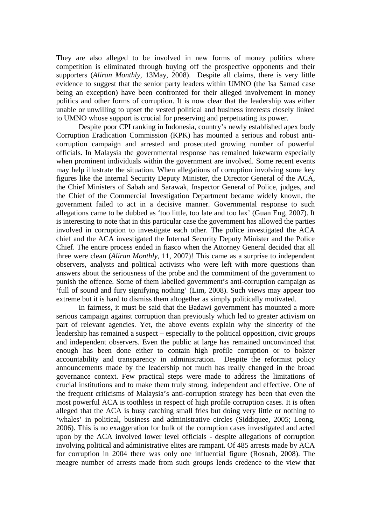They are also alleged to be involved in new forms of money politics where competition is eliminated through buying off the prospective opponents and their supporters (*Aliran Monthly,* 13May, 2008). Despite all claims, there is very little evidence to suggest that the senior party leaders within UMNO (the Isa Samad case being an exception) have been confronted for their alleged involvement in money politics and other forms of corruption. It is now clear that the leadership was either unable or unwilling to upset the vested political and business interests closely linked to UMNO whose support is crucial for preserving and perpetuating its power.

Despite poor CPI ranking in Indonesia, country's newly established apex body Corruption Eradication Commission (KPK) has mounted a serious and robust anticorruption campaign and arrested and prosecuted growing number of powerful officials. In Malaysia the governmental response has remained lukewarm especially when prominent individuals within the government are involved. Some recent events may help illustrate the situation. When allegations of corruption involving some key figures like the Internal Security Deputy Minister, the Director General of the ACA, the Chief Ministers of Sabah and Sarawak, Inspector General of Police, judges, and the Chief of the Commercial Investigation Department became widely known, the government failed to act in a decisive manner. Governmental response to such allegations came to be dubbed as 'too little, too late and too lax' (Guan Eng, 2007). It is interesting to note that in this particular case the government has allowed the parties involved in corruption to investigate each other. The police investigated the ACA chief and the ACA investigated the Internal Security Deputy Minister and the Police Chief. The entire process ended in fiasco when the Attorney General decided that all three were clean (*Aliran Monthly*, 11, 2007)! This came as a surprise to independent observers, analysts and political activists who were left with more questions than answers about the seriousness of the probe and the commitment of the government to punish the offence. Some of them labelled government's anti-corruption campaign as 'full of sound and fury signifying nothing' (Lim, 2008). Such views may appear too extreme but it is hard to dismiss them altogether as simply politically motivated.

In fairness, it must be said that the Badawi government has mounted a more serious campaign against corruption than previously which led to greater activism on part of relevant agencies. Yet, the above events explain why the sincerity of the leadership has remained a suspect – especially to the political opposition, civic groups and independent observers. Even the public at large has remained unconvinced that enough has been done either to contain high profile corruption or to bolster accountability and transparency in administration. Despite the reformist policy announcements made by the leadership not much has really changed in the broad governance context. Few practical steps were made to address the limitations of crucial institutions and to make them truly strong, independent and effective. One of the frequent criticisms of Malaysia's anti-corruption strategy has been that even the most powerful ACA is toothless in respect of high profile corruption cases. It is often alleged that the ACA is busy catching small fries but doing very little or nothing to 'whales' in political, business and administrative circles (Siddiquee, 2005; Leong, 2006). This is no exaggeration for bulk of the corruption cases investigated and acted upon by the ACA involved lower level officials - despite allegations of corruption involving political and administrative elites are rampant. Of 485 arrests made by ACA for corruption in 2004 there was only one influential figure (Rosnah, 2008). The meagre number of arrests made from such groups lends credence to the view that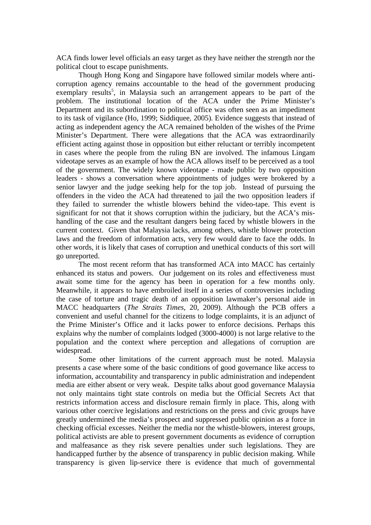ACA finds lower level officials an easy target as they have neither the strength nor the political clout to escape punishments.

Though Hong Kong and Singapore have followed similar models where anticorruption agency remains accountable to the head of the government producing exemplary results<sup>5</sup>, in Malaysia such an arrangement appears to be part of the problem. The institutional location of the ACA under the Prime Minister's Department and its subordination to political office was often seen as an impediment to its task of vigilance (Ho, 1999; Siddiquee, 2005). Evidence suggests that instead of acting as independent agency the ACA remained beholden of the wishes of the Prime Minister's Department. There were allegations that the ACA was extraordinarily efficient acting against those in opposition but either reluctant or terribly incompetent in cases where the people from the ruling BN are involved. The infamous Lingam videotape serves as an example of how the ACA allows itself to be perceived as a tool of the government. The widely known videotape - made public by two opposition leaders - shows a conversation where appointments of judges were brokered by a senior lawyer and the judge seeking help for the top job. Instead of pursuing the offenders in the video the ACA had threatened to jail the two opposition leaders if they failed to surrender the whistle blowers behind the video-tape. This event is significant for not that it shows corruption within the judiciary, but the ACA's mishandling of the case and the resultant dangers being faced by whistle blowers in the current context. Given that Malaysia lacks, among others, whistle blower protection laws and the freedom of information acts, very few would dare to face the odds. In other words, it is likely that cases of corruption and unethical conducts of this sort will go unreported.

The most recent reform that has transformed ACA into MACC has certainly enhanced its status and powers. Our judgement on its roles and effectiveness must await some time for the agency has been in operation for a few months only. Meanwhile, it appears to have embroiled itself in a series of controversies including the case of torture and tragic death of an opposition lawmaker's personal aide in MACC headquarters (*The Straits Times*, 20, 2009). Although the PCB offers a convenient and useful channel for the citizens to lodge complaints, it is an adjunct of the Prime Minister's Office and it lacks power to enforce decisions. Perhaps this explains why the number of complaints lodged (3000-4000) is not large relative to the population and the context where perception and allegations of corruption are widespread.

Some other limitations of the current approach must be noted. Malaysia presents a case where some of the basic conditions of good governance like access to information, accountability and transparency in public administration and independent media are either absent or very weak. Despite talks about good governance Malaysia not only maintains tight state controls on media but the Official Secrets Act that restricts information access and disclosure remain firmly in place. This, along with various other coercive legislations and restrictions on the press and civic groups have greatly undermined the media's prospect and suppressed public opinion as a force in checking official excesses. Neither the media nor the whistle-blowers, interest groups, political activists are able to present government documents as evidence of corruption and malfeasance as they risk severe penalties under such legislations. They are handicapped further by the absence of transparency in public decision making. While transparency is given lip-service there is evidence that much of governmental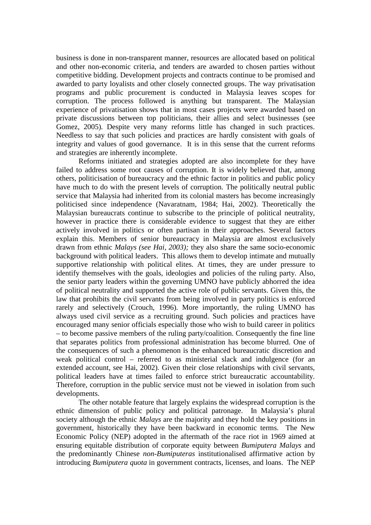business is done in non-transparent manner, resources are allocated based on political and other non-economic criteria, and tenders are awarded to chosen parties without competitive bidding. Development projects and contracts continue to be promised and awarded to party loyalists and other closely connected groups. The way privatisation programs and public procurement is conducted in Malaysia leaves scopes for corruption. The process followed is anything but transparent. The Malaysian experience of privatisation shows that in most cases projects were awarded based on private discussions between top politicians, their allies and select businesses (see Gomez, 2005). Despite very many reforms little has changed in such practices. Needless to say that such policies and practices are hardly consistent with goals of integrity and values of good governance. It is in this sense that the current reforms and strategies are inherently incomplete.

Reforms initiated and strategies adopted are also incomplete for they have failed to address some root causes of corruption. It is widely believed that, among others, politicisation of bureaucracy and the ethnic factor in politics and public policy have much to do with the present levels of corruption. The politically neutral public service that Malaysia had inherited from its colonial masters has become increasingly politicised since independence (Navaratnam, 1984; Hai, 2002). Theoretically the Malaysian bureaucrats continue to subscribe to the principle of political neutrality, however in practice there is considerable evidence to suggest that they are either actively involved in politics or often partisan in their approaches. Several factors explain this. Members of senior bureaucracy in Malaysia are almost exclusively drawn from ethnic *Malays (see Hai, 2003);* they also share the same socio-economic background with political leaders. This allows them to develop intimate and mutually supportive relationship with political elites. At times, they are under pressure to identify themselves with the goals, ideologies and policies of the ruling party. Also, the senior party leaders within the governing UMNO have publicly abhorred the idea of political neutrality and supported the active role of public servants. Given this, the law that prohibits the civil servants from being involved in party politics is enforced rarely and selectively (Crouch, 1996). More importantly, the ruling UMNO has always used civil service as a recruiting ground. Such policies and practices have encouraged many senior officials especially those who wish to build career in politics – to become passive members of the ruling party/coalition. Consequently the fine line that separates politics from professional administration has become blurred. One of the consequences of such a phenomenon is the enhanced bureaucratic discretion and weak political control – referred to as ministerial slack and indulgence (for an extended account, see Hai, 2002). Given their close relationships with civil servants, political leaders have at times failed to enforce strict bureaucratic accountability. Therefore, corruption in the public service must not be viewed in isolation from such developments.

The other notable feature that largely explains the widespread corruption is the ethnic dimension of public policy and political patronage. In Malaysia's plural society although the ethnic *Malays* are the majority and they hold the key positions in government, historically they have been backward in economic terms. The New Economic Policy (NEP) adopted in the aftermath of the race riot in 1969 aimed at ensuring equitable distribution of corporate equity between *Bumiputera Malays* and the predominantly Chinese *non-Bumiputeras* institutionalised affirmative action by introducing *Bumiputera quota* in government contracts, licenses, and loans. The NEP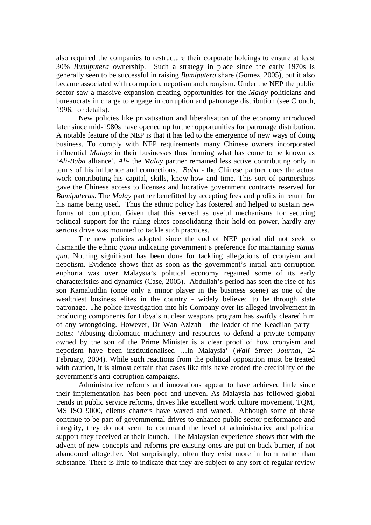also required the companies to restructure their corporate holdings to ensure at least 30% *Bumiputera* ownership. Such a strategy in place since the early 1970s is generally seen to be successful in raising *Bumiputera* share (Gomez, 2005), but it also became associated with corruption, nepotism and cronyism. Under the NEP the public sector saw a massive expansion creating opportunities for the *Malay* politicians and bureaucrats in charge to engage in corruption and patronage distribution (see Crouch, 1996, for details).

New policies like privatisation and liberalisation of the economy introduced later since mid-1980s have opened up further opportunities for patronage distribution. A notable feature of the NEP is that it has led to the emergence of new ways of doing business. To comply with NEP requirements many Chinese owners incorporated influential *Malays* in their businesses thus forming what has come to be known as '*Ali-Baba* alliance'. *Ali*- the *Malay* partner remained less active contributing only in terms of his influence and connections. *Baba* - the Chinese partner does the actual work contributing his capital, skills, know-how and time. This sort of partnerships gave the Chinese access to licenses and lucrative government contracts reserved for *Bumiputeras*. The *Malay* partner benefitted by accepting fees and profits in return for his name being used. Thus the ethnic policy has fostered and helped to sustain new forms of corruption. Given that this served as useful mechanisms for securing political support for the ruling elites consolidating their hold on power, hardly any serious drive was mounted to tackle such practices.

The new policies adopted since the end of NEP period did not seek to dismantle the ethnic *quota* indicating government's preference for maintaining *status quo*. Nothing significant has been done for tackling allegations of cronyism and nepotism. Evidence shows that as soon as the government's initial anti-corruption euphoria was over Malaysia's political economy regained some of its early characteristics and dynamics (Case, 2005). Abdullah's period has seen the rise of his son Kamaluddin (once only a minor player in the business scene) as one of the wealthiest business elites in the country - widely believed to be through state patronage. The police investigation into his Company over its alleged involvement in producing components for Libya's nuclear weapons program has swiftly cleared him of any wrongdoing. However, Dr Wan Azizah - the leader of the Keadilan party notes: 'Abusing diplomatic machinery and resources to defend a private company owned by the son of the Prime Minister is a clear proof of how cronyism and nepotism have been institutionalised …in Malaysia' (*Wall Street Journal*, 24 February, 2004). While such reactions from the political opposition must be treated with caution, it is almost certain that cases like this have eroded the credibility of the government's anti-corruption campaigns.

Administrative reforms and innovations appear to have achieved little since their implementation has been poor and uneven. As Malaysia has followed global trends in public service reforms, drives like excellent work culture movement, TQM, MS ISO 9000, clients charters have waxed and waned. Although some of these continue to be part of governmental drives to enhance public sector performance and integrity, they do not seem to command the level of administrative and political support they received at their launch. The Malaysian experience shows that with the advent of new concepts and reforms pre-existing ones are put on back burner, if not abandoned altogether. Not surprisingly, often they exist more in form rather than substance. There is little to indicate that they are subject to any sort of regular review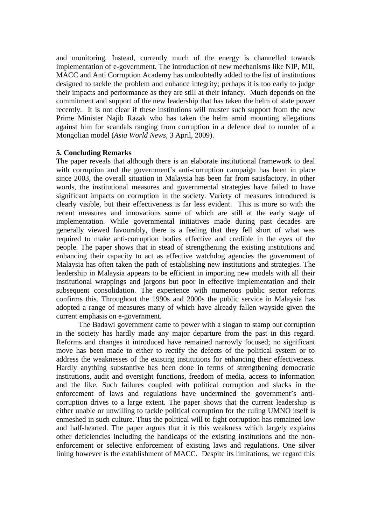and monitoring. Instead, currently much of the energy is channelled towards implementation of e-government. The introduction of new mechanisms like NIP, MII, MACC and Anti Corruption Academy has undoubtedly added to the list of institutions designed to tackle the problem and enhance integrity; perhaps it is too early to judge their impacts and performance as they are still at their infancy. Much depends on the commitment and support of the new leadership that has taken the helm of state power recently. It is not clear if these institutions will muster such support from the new Prime Minister Najib Razak who has taken the helm amid mounting allegations against him for scandals ranging from corruption in a defence deal to murder of a Mongolian model (*Asia World News*, 3 April, 2009).

### **5. Concluding Remarks**

The paper reveals that although there is an elaborate institutional framework to deal with corruption and the government's anti-corruption campaign has been in place since 2003, the overall situation in Malaysia has been far from satisfactory. In other words, the institutional measures and governmental strategies have failed to have significant impacts on corruption in the society. Variety of measures introduced is clearly visible, but their effectiveness is far less evident. This is more so with the recent measures and innovations some of which are still at the early stage of implementation. While governmental initiatives made during past decades are generally viewed favourably, there is a feeling that they fell short of what was required to make anti-corruption bodies effective and credible in the eyes of the people. The paper shows that in stead of strengthening the existing institutions and enhancing their capacity to act as effective watchdog agencies the government of Malaysia has often taken the path of establishing new institutions and strategies. The leadership in Malaysia appears to be efficient in importing new models with all their institutional wrappings and jargons but poor in effective implementation and their subsequent consolidation. The experience with numerous public sector reforms confirms this. Throughout the 1990s and 2000s the public service in Malaysia has adopted a range of measures many of which have already fallen wayside given the current emphasis on e-government.

The Badawi government came to power with a slogan to stamp out corruption in the society has hardly made any major departure from the past in this regard. Reforms and changes it introduced have remained narrowly focused; no significant move has been made to either to rectify the defects of the political system or to address the weaknesses of the existing institutions for enhancing their effectiveness. Hardly anything substantive has been done in terms of strengthening democratic institutions, audit and oversight functions, freedom of media, access to information and the like. Such failures coupled with political corruption and slacks in the enforcement of laws and regulations have undermined the government's anticorruption drives to a large extent. The paper shows that the current leadership is either unable or unwilling to tackle political corruption for the ruling UMNO itself is enmeshed in such culture. Thus the political will to fight corruption has remained low and half-hearted. The paper argues that it is this weakness which largely explains other deficiencies including the handicaps of the existing institutions and the nonenforcement or selective enforcement of existing laws and regulations. One silver lining however is the establishment of MACC. Despite its limitations, we regard this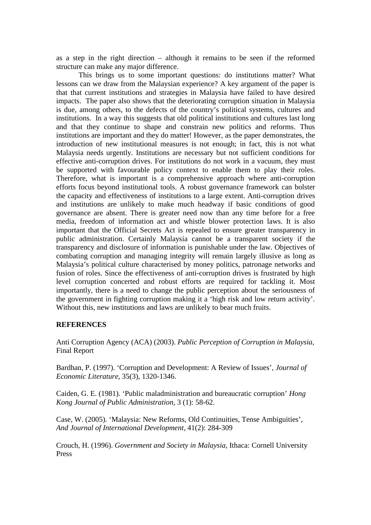as a step in the right direction – although it remains to be seen if the reformed structure can make any major difference.

This brings us to some important questions: do institutions matter? What lessons can we draw from the Malaysian experience? A key argument of the paper is that that current institutions and strategies in Malaysia have failed to have desired impacts. The paper also shows that the deteriorating corruption situation in Malaysia is due, among others, to the defects of the country's political systems, cultures and institutions. In a way this suggests that old political institutions and cultures last long and that they continue to shape and constrain new politics and reforms. Thus institutions are important and they do matter! However, as the paper demonstrates, the introduction of new institutional measures is not enough; in fact, this is not what Malaysia needs urgently. Institutions are necessary but not sufficient conditions for effective anti-corruption drives. For institutions do not work in a vacuum, they must be supported with favourable policy context to enable them to play their roles. Therefore, what is important is a comprehensive approach where anti-corruption efforts focus beyond institutional tools. A robust governance framework can bolster the capacity and effectiveness of institutions to a large extent. Anti-corruption drives and institutions are unlikely to make much headway if basic conditions of good governance are absent. There is greater need now than any time before for a free media, freedom of information act and whistle blower protection laws. It is also important that the Official Secrets Act is repealed to ensure greater transparency in public administration. Certainly Malaysia cannot be a transparent society if the transparency and disclosure of information is punishable under the law. Objectives of combating corruption and managing integrity will remain largely illusive as long as Malaysia's political culture characterised by money politics, patronage networks and fusion of roles. Since the effectiveness of anti-corruption drives is frustrated by high level corruption concerted and robust efforts are required for tackling it. Most importantly, there is a need to change the public perception about the seriousness of the government in fighting corruption making it a 'high risk and low return activity'. Without this, new institutions and laws are unlikely to bear much fruits.

### **REFERENCES**

Anti Corruption Agency (ACA) (2003). *Public Perception of Corruption in Malaysia*, Final Report

Bardhan, P. (1997). 'Corruption and Development: A Review of Issues', *Journal of Economic Literature*, 35(3), 1320-1346.

Caiden, G. E. (1981). 'Public maladministration and bureaucratic corruption' *Hong Kong Journal of Public Administration,* 3 (1): 58-62.

Case, W. (2005). 'Malaysia: New Reforms, Old Continuities, Tense Ambiguities', *And Journal of International Development*, 41(2): 284-309

Crouch, H. (1996). *Government and Society in Malaysia*, Ithaca: Cornell University Press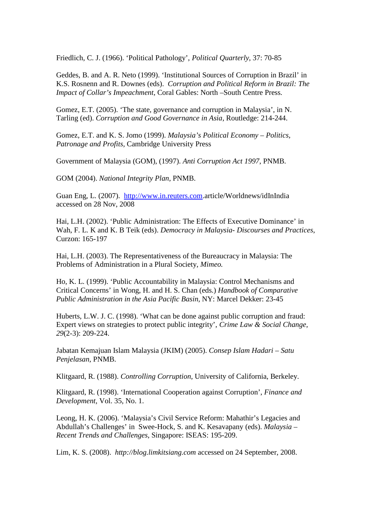Friedlich, C. J. (1966). 'Political Pathology', *Political Quarterly*, 37: 70-85

Geddes, B. and A. R. Neto (1999). 'Institutional Sources of Corruption in Brazil' in K.S. Rosnenn and R. Downes (eds). *Corruption and Political Reform in Brazil: The Impact of Collar's Impeachment*, Coral Gables: North –South Centre Press.

Gomez, E.T. (2005). 'The state, governance and corruption in Malaysia', in N. Tarling (ed). *Corruption and Good Governance in Asia*, Routledge: 214-244.

Gomez, E.T. and K. S. Jomo (1999). *Malaysia's Political Economy – Politics, Patronage and Profits,* Cambridge University Press

Government of Malaysia (GOM), (1997). *Anti Corruption Act 1997*, PNMB.

GOM (2004). *National Integrity Plan,* PNMB.

Guan Eng, L. (2007). http://www.in.reuters.com.article/Worldnews/idInIndia accessed on 28 Nov, 2008

Hai, L.H. (2002). 'Public Administration: The Effects of Executive Dominance' in Wah, F. L. K and K. B Teik (eds). *Democracy in Malaysia- Discourses and Practices*, Curzon: 165-197

Hai, L.H. (2003). The Representativeness of the Bureaucracy in Malaysia: The Problems of Administration in a Plural Society, *Mimeo.*

Ho, K. L. (1999). 'Public Accountability in Malaysia: Control Mechanisms and Critical Concerns' in Wong, H. and H. S. Chan (eds.) *Handbook of Comparative Public Administration in the Asia Pacific Basin,* NY: Marcel Dekker: 23-45

Huberts, L.W. J. C. (1998). 'What can be done against public corruption and fraud: Expert views on strategies to protect public integrity', *Crime Law & Social Change, 29*(2-3): 209-224.

Jabatan Kemajuan Islam Malaysia (JKIM) (2005). *Consep Islam Hadari – Satu Penjelasan,* PNMB.

Klitgaard, R. (1988). *Controlling Corruption*, University of California, Berkeley.

Klitgaard, R. (1998). 'International Cooperation against Corruption', *Finance and Development*, Vol. 35, No. 1.

Leong, H. K. (2006). 'Malaysia's Civil Service Reform: Mahathir's Legacies and Abdullah's Challenges' in Swee-Hock, S. and K. Kesavapany (eds). *Malaysia – Recent Trends and Challenges*, Singapore: ISEAS: 195-209.

Lim, K. S. (2008). *http://blog.limkitsiang.com* accessed on 24 September, 2008.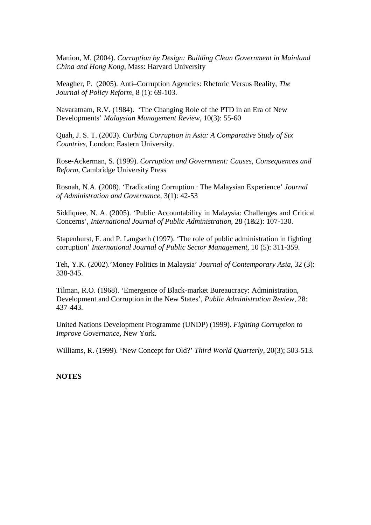Manion, M. (2004). *Corruption by Design: Building Clean Government in Mainland China and Hong Kong,* Mass: Harvard University

Meagher, P. (2005). Anti–Corruption Agencies: Rhetoric Versus Reality, *The Journal of Policy Reform*, 8 (1): 69-103.

Navaratnam, R.V. (1984). 'The Changing Role of the PTD in an Era of New Developments' *Malaysian Management Review*, 10(3): 55-60

Quah, J. S. T. (2003). *Curbing Corruption in Asia: A Comparative Study of Six Countries,* London: Eastern University.

Rose-Ackerman, S. (1999). *Corruption and Government: Causes, Consequences and Reform*, Cambridge University Press

Rosnah, N.A. (2008). 'Eradicating Corruption : The Malaysian Experience' *Journal of Administration and Governance,* 3(1): 42-53

Siddiquee, N. A. (2005). 'Public Accountability in Malaysia: Challenges and Critical Concerns', *International Journal of Public Administration*, 28 (1&2): 107-130.

Stapenhurst, F. and P. Langseth (1997). 'The role of public administration in fighting corruption' *International Journal of Public Sector Management*, 10 (5): 311-359.

Teh, Y.K. (2002).'Money Politics in Malaysia' *Journal of Contemporary Asia*, 32 (3): 338-345.

Tilman, R.O. (1968). 'Emergence of Black-market Bureaucracy: Administration, Development and Corruption in the New States', *Public Administration Review*, 28: 437-443.

United Nations Development Programme (UNDP) (1999). *Fighting Corruption to Improve Governance,* New York.

Williams, R. (1999). 'New Concept for Old?' *Third World Quarterly*, 20(3); 503-513.

**NOTES**